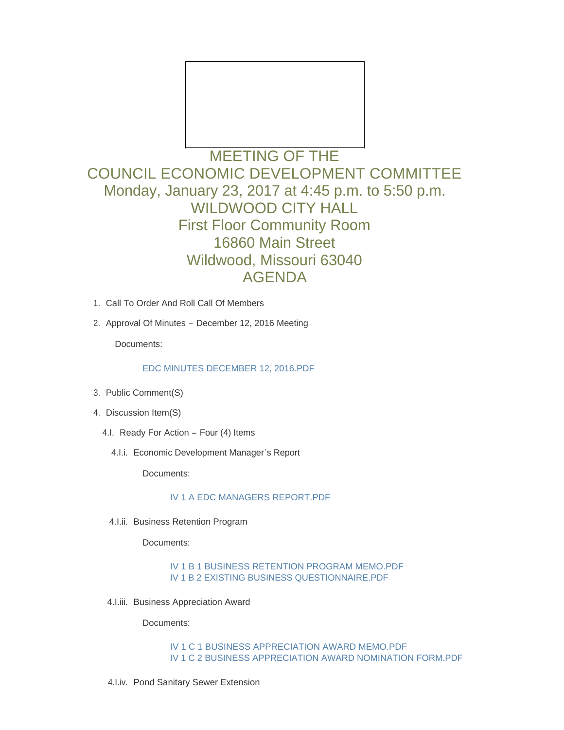

# MEETING OF THE COUNCIL ECONOMIC DEVELOPMENT COMMITTEE Monday, January 23, 2017 at 4:45 p.m. to 5:50 p.m. WILDWOOD CITY HALL First Floor Community Room 16860 Main Street Wildwood, Missouri 63040 AGENDA

- 1. Call To Order And Roll Call Of Members
- 2. Approval Of Minutes December 12, 2016 Meeting

Documents:

[EDC MINUTES DECEMBER 12, 2016.PDF](http://mo-wildwood.civicplus.com/AgendaCenter/ViewFile/Item/9542?fileID=13889)

- 3. Public Comment(S)
- 4. Discussion Item(S)
	- 4.I. Ready For Action Four (4) Items
		- 4.I.i. Economic Development Manager's Report

Documents:

### [IV 1 A EDC MANAGERS REPORT.PDF](http://mo-wildwood.civicplus.com/AgendaCenter/ViewFile/Item/9546?fileID=13890)

4.I.ii. Business Retention Program

Documents:

[IV 1 B 1 BUSINESS RETENTION PROGRAM MEMO.PDF](http://mo-wildwood.civicplus.com/AgendaCenter/ViewFile/Item/9547?fileID=13891) [IV 1 B 2 EXISTING BUSINESS QUESTIONNAIRE.PDF](http://mo-wildwood.civicplus.com/AgendaCenter/ViewFile/Item/9547?fileID=13894)

4.I.iii. Business Appreciation Award

Documents:

[IV 1 C 1 BUSINESS APPRECIATION AWARD MEMO.PDF](http://mo-wildwood.civicplus.com/AgendaCenter/ViewFile/Item/9548?fileID=13892) [IV 1 C 2 BUSINESS APPRECIATION AWARD NOMINATION FORM.PDF](http://mo-wildwood.civicplus.com/AgendaCenter/ViewFile/Item/9548?fileID=13893)

4.I.iv. Pond Sanitary Sewer Extension